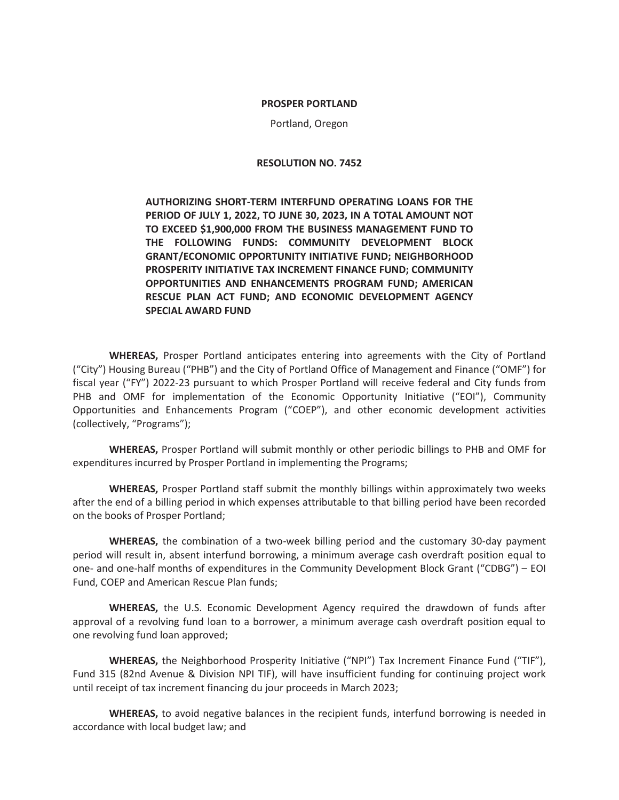#### **PROSPER PORTLAND**

Portland, Oregon

#### **RESOLUTION NO. 7452**

**AUTHORIZING SHORT-TERM INTERFUND OPERATING LOANS FOR THE PERIOD OF JULY 1, 2022, TO JUNE 30, 2023, IN A TOTAL AMOUNT NOT TO EXCEED \$1,900,000 FROM THE BUSINESS MANAGEMENT FUND TO THE FOLLOWING FUNDS: COMMUNITY DEVELOPMENT BLOCK GRANT/ECONOMIC OPPORTUNITY INITIATIVE FUND; NEIGHBORHOOD PROSPERITY INITIATIVE TAX INCREMENT FINANCE FUND; COMMUNITY OPPORTUNITIES AND ENHANCEMENTS PROGRAM FUND; AMERICAN RESCUE PLAN ACT FUND; AND ECONOMIC DEVELOPMENT AGENCY SPECIAL AWARD FUND** 

**WHEREAS,** Prosper Portland anticipates entering into agreements with the City of Portland ("City") Housing Bureau ("PHB") and the City of Portland Office of Management and Finance ("OMF") for fiscal year ("FY") 2022-23 pursuant to which Prosper Portland will receive federal and City funds from PHB and OMF for implementation of the Economic Opportunity Initiative ("EOI"), Community Opportunities and Enhancements Program ("COEP"), and other economic development activities (collectively, "Programs");

**WHEREAS,** Prosper Portland will submit monthly or other periodic billings to PHB and OMF for expenditures incurred by Prosper Portland in implementing the Programs;

**WHEREAS,** Prosper Portland staff submit the monthly billings within approximately two weeks after the end of a billing period in which expenses attributable to that billing period have been recorded on the books of Prosper Portland;

**WHEREAS,** the combination of a two-week billing period and the customary 30-day payment period will result in, absent interfund borrowing, a minimum average cash overdraft position equal to one- and one-half months of expenditures in the Community Development Block Grant ("CDBG") – EOI Fund, COEP and American Rescue Plan funds;

**WHEREAS,** the U.S. Economic Development Agency required the drawdown of funds after approval of a revolving fund loan to a borrower, a minimum average cash overdraft position equal to one revolving fund loan approved;

**WHEREAS,** the Neighborhood Prosperity Initiative ("NPI") Tax Increment Finance Fund ("TIF"), Fund 315 (82nd Avenue & Division NPI TIF), will have insufficient funding for continuing project work until receipt of tax increment financing du jour proceeds in March 2023;

**WHEREAS,** to avoid negative balances in the recipient funds, interfund borrowing is needed in accordance with local budget law; and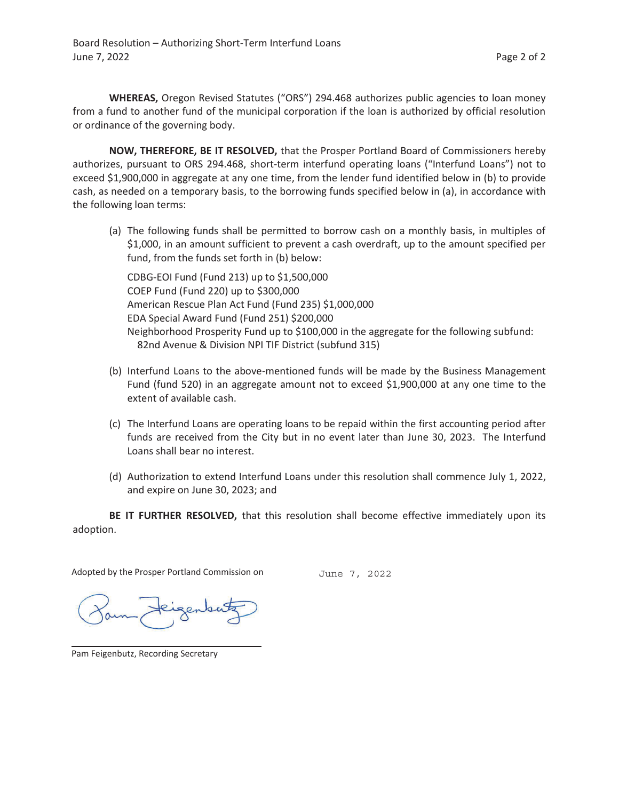**WHEREAS,** Oregon Revised Statutes ("ORS") 294.468 authorizes public agencies to loan money from a fund to another fund of the municipal corporation if the loan is authorized by official resolution or ordinance of the governing body.

**NOW, THEREFORE, BE IT RESOLVED,** that the Prosper Portland Board of Commissioners hereby authorizes, pursuant to ORS 294.468, short-term interfund operating loans ("Interfund Loans") not to exceed \$1,900,000 in aggregate at any one time, from the lender fund identified below in (b) to provide cash, as needed on a temporary basis, to the borrowing funds specified below in (a), in accordance with the following loan terms:

(a) The following funds shall be permitted to borrow cash on a monthly basis, in multiples of \$1,000, in an amount sufficient to prevent a cash overdraft, up to the amount specified per fund, from the funds set forth in (b) below:

CDBG-EOI Fund (Fund 213) up to \$1,500,000 COEP Fund (Fund 220) up to \$300,000 American Rescue Plan Act Fund (Fund 235) \$1,000,000 EDA Special Award Fund (Fund 251) \$200,000 Neighborhood Prosperity Fund up to \$100,000 in the aggregate for the following subfund: 82nd Avenue & Division NPI TIF District (subfund 315)

- (b) Interfund Loans to the above-mentioned funds will be made by the Business Management Fund (fund 520) in an aggregate amount not to exceed \$1,900,000 at any one time to the extent of available cash.
- (c) The Interfund Loans are operating loans to be repaid within the first accounting period after funds are received from the City but in no event later than June 30, 2023. The Interfund Loans shall bear no interest.
- (d) Authorization to extend Interfund Loans under this resolution shall commence July 1, 2022, and expire on June 30, 2023; and

**BE IT FURTHER RESOLVED,** that this resolution shall become effective immediately upon its adoption.

Adopted by the Prosper Portland Commission on

June 7, 2022

Pam Feigenbutz, Recording Secretary

 $\overline{a}$